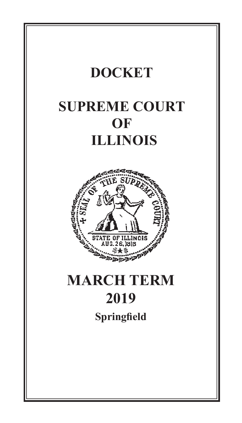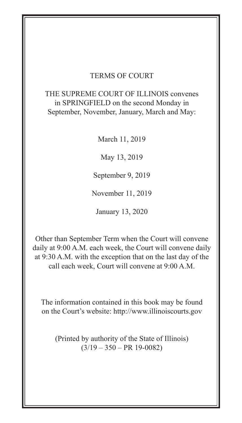# TERMS OF COURT

## in SPRINGFIELD on the second Monday in  **OF** THE SUPREME COURT OF ILLINOIS convenes September, November, January, March and May:

March 11, 2019

May 13, 2019

September 9, 2019

November 11, 2019

January 13, 2020

Other than September Term when the Court will convene daily at 9:00 A.M. each week, the Court will convene daily at 9:30 A.M. with the exception that on the last day of the call each week, Court will convene at 9:00 A.M.

**SEPTEM** The information contained in this book may be found on the Court's website: http://www.illinoiscourts.gov

**Springfield** (Printed by authority of the State of Illinois)  $(3/19 - 350 - PR 19 - 0082)$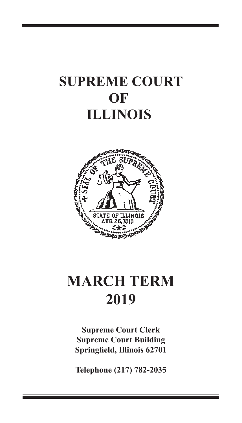## **SUPREME COURT OF ILLINOIS**

1



# $MARCH$  **TERM 2019 2010**

**Supreme Court Clerk Supreme Court Building Springfield, Illinois 62701**

**Telephone (217) 782-2035**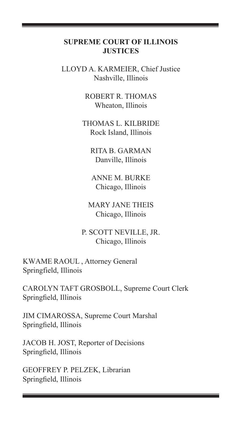#### **SUPREME COURT OF ILLINOIS JUSTICES**

2

LLOYD A. KARMEIER, Chief Justice Nashville, Illinois

> ROBERT R. THOMAS Wheaton, Illinois

THOMAS L. KILBRIDE Rock Island, Illinois

> RITA B. GARMAN Danville, Illinois

ANNE M. BURKE Chicago, Illinois

MARY JANE THEIS Chicago, Illinois

P. SCOTT NEVILLE, JR. Chicago, Illinois

KWAME RAOUL , Attorney General Springfield, Illinois

CAROLYN TAFT GROSBOLL, Supreme Court Clerk Springfield, Illinois

JIM CIMAROSSA, Supreme Court Marshal Springfield, Illinois

JACOB H. JOST, Reporter of Decisions Springfield, Illinois

GEOFFREY P. PELZEK, Librarian Springfield, Illinois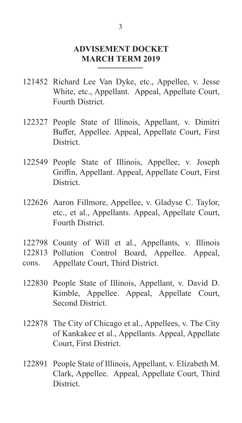### **ADVISEMENT DOCKET MARCH TERM 2019**

- 121452 Richard Lee Van Dyke, etc., Appellee, v. Jesse White, etc., Appellant. Appeal, Appellate Court, Fourth District.
- 122327 People State of Illinois, Appellant, v. Dimitri Buffer, Appellee. Appeal, Appellate Court, First District.
- 122549 People State of Illinois, Appellee, v. Joseph Griffin, Appellant. Appeal, Appellate Court, First **District**
- 122626 Aaron Fillmore, Appellee, v. Gladyse C. Taylor, etc., et al., Appellants. Appeal, Appellate Court, Fourth District.
- 122798 County of Will et al., Appellants, v. Illinois
- 122813 Pollution Control Board, Appellee. Appeal,
- Appellate Court, Third District. cons.
- 122830 People State of Illinois, Appellant, v. David D. Kimble, Appellee. Appeal, Appellate Court, Second District.
- 122878 The City of Chicago et al., Appellees, v. The City of Kankakee et al., Appellants. Appeal, Appellate Court, First District.
- 122891 People State of Illinois, Appellant, v. Elizabeth M. Clark, Appellee. Appeal, Appellate Court, Third District.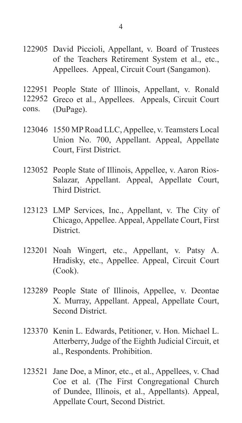- 122905 David Piccioli, Appellant, v. Board of Trustees of the Teachers Retirement System et al., etc., Appellees. Appeal, Circuit Court (Sangamon).
- 122951 People State of Illinois, Appellant, v. Ronald
- 122952 Greco et al., Appellees. Appeals, Circuit Court
- (DuPage). cons.
- 123046 1550 MP Road LLC, Appellee, v. Teamsters Local Union No. 700, Appellant. Appeal, Appellate Court, First District.
- 123052 People State of Illinois, Appellee, v. Aaron Rios-Salazar, Appellant. Appeal, Appellate Court, Third District.
- 123123 LMP Services, Inc., Appellant, v. The City of Chicago, Appellee. Appeal, Appellate Court, First **District**
- 123201 Noah Wingert, etc., Appellant, v. Patsy A. Hradisky, etc., Appellee. Appeal, Circuit Court (Cook).
- 123289 People State of Illinois, Appellee, v. Deontae X. Murray, Appellant. Appeal, Appellate Court, Second District.
- 123370 Kenin L. Edwards, Petitioner, v. Hon. Michael L. Atterberry, Judge of the Eighth Judicial Circuit, et al., Respondents. Prohibition.
- 123521 Jane Doe, a Minor, etc., et al., Appellees, v. Chad Coe et al. (The First Congregational Church of Dundee, Illinois, et al., Appellants). Appeal, Appellate Court, Second District.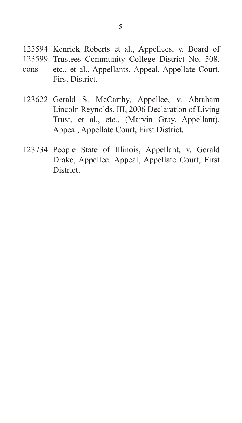- 123594 Kenrick Roberts et al., Appellees, v. Board of
- 123599 Trustees Community College District No. 508,
- etc., et al., Appellants. Appeal, Appellate Court, First District. cons.
- 123622 Gerald S. McCarthy, Appellee, v. Abraham Lincoln Reynolds, III, 2006 Declaration of Living Trust, et al., etc., (Marvin Gray, Appellant). Appeal, Appellate Court, First District.
- 123734 People State of Illinois, Appellant, v. Gerald Drake, Appellee. Appeal, Appellate Court, First **District**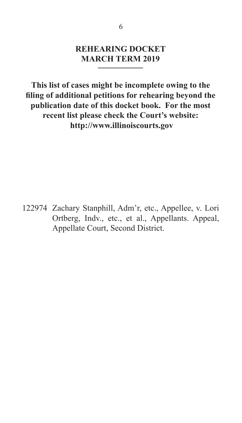### **REHEARING DOCKET MARCH TERM 2019**

**This list of cases might be incomplete owing to the filing of additional petitions for rehearing beyond the publication date of this docket book. For the most recent list please check the Court's website: http://www.illinoiscourts.gov**

122974 Zachary Stanphill, Adm'r, etc., Appellee, v. Lori Ortberg, Indv., etc., et al., Appellants. Appeal, Appellate Court, Second District.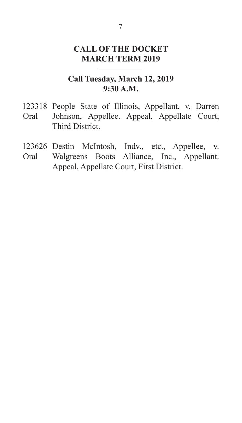## **CALL OF THE DOCKET MARCH TERM 2019**

## **Call Tuesday, March 12, 2019 9:30 A.M.**

- 123318 People State of Illinois, Appellant, v. Darren Johnson, Appellee. Appeal, Appellate Court, Third District. Oral
- 123626 Destin McIntosh, Indv., etc., Appellee, v.
- Walgreens Boots Alliance, Inc., Appellant. Appeal, Appellate Court, First District. Oral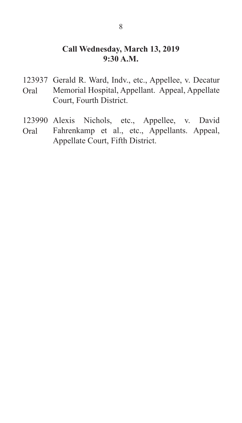### **Call Wednesday, March 13, 2019 9:30 A.M.**

- 123937 Gerald R. Ward, Indv., etc., Appellee, v. Decatur Memorial Hospital, Appellant. Appeal, Appellate Court, Fourth District. Oral
- 123990 Alexis Nichols, etc., Appellee, v. David Fahrenkamp et al., etc., Appellants. Appeal, Appellate Court, Fifth District. Oral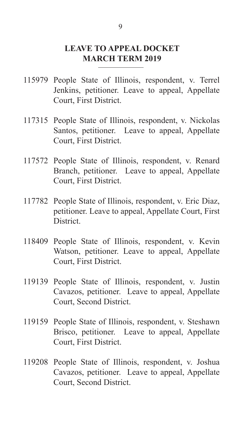### **LEAVE TO APPEAL DOCKET MARCH TERM 2019**

- 115979 People State of Illinois, respondent, v. Terrel Jenkins, petitioner. Leave to appeal, Appellate Court, First District.
- 117315 People State of Illinois, respondent, v. Nickolas Santos, petitioner. Leave to appeal, Appellate Court, First District.
- 117572 People State of Illinois, respondent, v. Renard Branch, petitioner. Leave to appeal, Appellate Court, First District.
- 117782 People State of Illinois, respondent, v. Eric Diaz, petitioner. Leave to appeal, Appellate Court, First District.
- 118409 People State of Illinois, respondent, v. Kevin Watson, petitioner. Leave to appeal, Appellate Court, First District.
- 119139 People State of Illinois, respondent, v. Justin Cavazos, petitioner. Leave to appeal, Appellate Court, Second District.
- 119159 People State of Illinois, respondent, v. Steshawn Brisco, petitioner. Leave to appeal, Appellate Court, First District.
- 119208 People State of Illinois, respondent, v. Joshua Cavazos, petitioner. Leave to appeal, Appellate Court, Second District.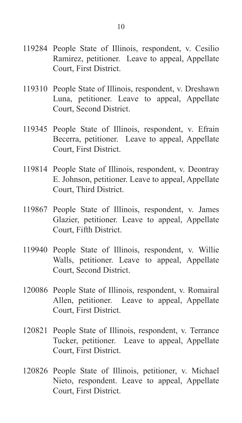- 119284 People State of Illinois, respondent, v. Cesilio Ramirez, petitioner. Leave to appeal, Appellate Court, First District.
- 119310 People State of Illinois, respondent, v. Dreshawn Luna, petitioner. Leave to appeal, Appellate Court, Second District.
- 119345 People State of Illinois, respondent, v. Efrain Becerra, petitioner. Leave to appeal, Appellate Court, First District.
- 119814 People State of Illinois, respondent, v. Deontray E. Johnson, petitioner. Leave to appeal, Appellate Court, Third District.
- 119867 People State of Illinois, respondent, v. James Glazier, petitioner. Leave to appeal, Appellate Court, Fifth District.
- 119940 People State of Illinois, respondent, v. Willie Walls, petitioner. Leave to appeal, Appellate Court, Second District.
- 120086 People State of Illinois, respondent, v. Romairal Allen, petitioner. Leave to appeal, Appellate Court, First District.
- 120821 People State of Illinois, respondent, v. Terrance Tucker, petitioner. Leave to appeal, Appellate Court, First District.
- 120826 People State of Illinois, petitioner, v. Michael Nieto, respondent. Leave to appeal, Appellate Court, First District.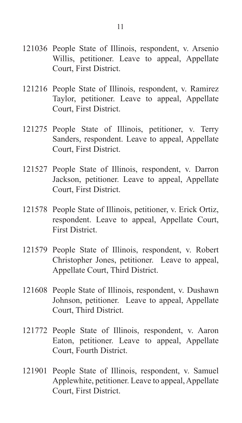- 121036 People State of Illinois, respondent, v. Arsenio Willis, petitioner. Leave to appeal, Appellate Court, First District.
- 121216 People State of Illinois, respondent, v. Ramirez Taylor, petitioner. Leave to appeal, Appellate Court, First District.
- 121275 People State of Illinois, petitioner, v. Terry Sanders, respondent. Leave to appeal, Appellate Court, First District.
- 121527 People State of Illinois, respondent, v. Darron Jackson, petitioner. Leave to appeal, Appellate Court, First District.
- 121578 People State of Illinois, petitioner, v. Erick Ortiz, respondent. Leave to appeal, Appellate Court, First District.
- 121579 People State of Illinois, respondent, v. Robert Christopher Jones, petitioner. Leave to appeal, Appellate Court, Third District.
- 121608 People State of Illinois, respondent, v. Dushawn Johnson, petitioner. Leave to appeal, Appellate Court, Third District.
- 121772 People State of Illinois, respondent, v. Aaron Eaton, petitioner. Leave to appeal, Appellate Court, Fourth District.
- 121901 People State of Illinois, respondent, v. Samuel Applewhite, petitioner. Leave to appeal, Appellate Court, First District.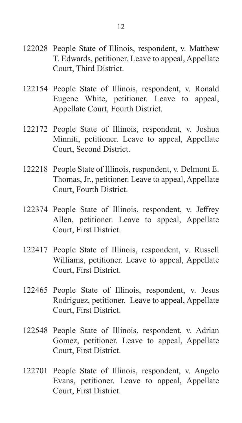- 122028 People State of Illinois, respondent, v. Matthew T. Edwards, petitioner. Leave to appeal, Appellate Court, Third District.
- 122154 People State of Illinois, respondent, v. Ronald Eugene White, petitioner. Leave to appeal, Appellate Court, Fourth District.
- 122172 People State of Illinois, respondent, v. Joshua Minniti, petitioner. Leave to appeal, Appellate Court, Second District.
- 122218 People State of Illinois, respondent, v. Delmont E. Thomas, Jr., petitioner. Leave to appeal, Appellate Court, Fourth District.
- 122374 People State of Illinois, respondent, v. Jeffrey Allen, petitioner. Leave to appeal, Appellate Court, First District.
- 122417 People State of Illinois, respondent, v. Russell Williams, petitioner. Leave to appeal, Appellate Court, First District.
- 122465 People State of Illinois, respondent, v. Jesus Rodriguez, petitioner. Leave to appeal, Appellate Court, First District.
- 122548 People State of Illinois, respondent, v. Adrian Gomez, petitioner. Leave to appeal, Appellate Court, First District.
- 122701 People State of Illinois, respondent, v. Angelo Evans, petitioner. Leave to appeal, Appellate Court, First District.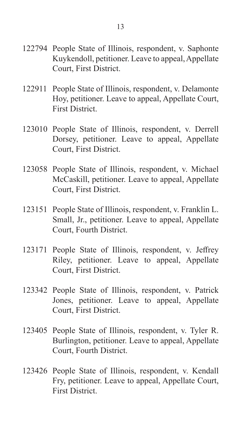- 122794 People State of Illinois, respondent, v. Saphonte Kuykendoll, petitioner. Leave to appeal, Appellate Court, First District.
- 122911 People State of Illinois, respondent, v. Delamonte Hoy, petitioner. Leave to appeal, Appellate Court, First District.
- 123010 People State of Illinois, respondent, v. Derrell Dorsey, petitioner. Leave to appeal, Appellate Court, First District.
- 123058 People State of Illinois, respondent, v. Michael McCaskill, petitioner. Leave to appeal, Appellate Court, First District.
- 123151 People State of Illinois, respondent, v. Franklin L. Small, Jr., petitioner. Leave to appeal, Appellate Court, Fourth District.
- 123171 People State of Illinois, respondent, v. Jeffrey Riley, petitioner. Leave to appeal, Appellate Court, First District.
- 123342 People State of Illinois, respondent, v. Patrick Jones, petitioner. Leave to appeal, Appellate Court, First District.
- 123405 People State of Illinois, respondent, v. Tyler R. Burlington, petitioner. Leave to appeal, Appellate Court, Fourth District.
- 123426 People State of Illinois, respondent, v. Kendall Fry, petitioner. Leave to appeal, Appellate Court, First District.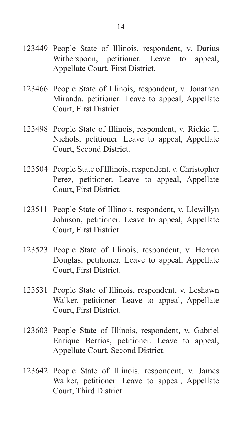- 123449 People State of Illinois, respondent, v. Darius Witherspoon, petitioner. Leave to appeal, Appellate Court, First District.
- 123466 People State of Illinois, respondent, v. Jonathan Miranda, petitioner. Leave to appeal, Appellate Court, First District.
- 123498 People State of Illinois, respondent, v. Rickie T. Nichols, petitioner. Leave to appeal, Appellate Court, Second District.
- 123504 People State of Illinois, respondent, v. Christopher Perez, petitioner. Leave to appeal, Appellate Court, First District.
- 123511 People State of Illinois, respondent, v. Llewillyn Johnson, petitioner. Leave to appeal, Appellate Court, First District.
- 123523 People State of Illinois, respondent, v. Herron Douglas, petitioner. Leave to appeal, Appellate Court, First District.
- 123531 People State of Illinois, respondent, v. Leshawn Walker, petitioner. Leave to appeal, Appellate Court, First District.
- 123603 People State of Illinois, respondent, v. Gabriel Enrique Berrios, petitioner. Leave to appeal, Appellate Court, Second District.
- 123642 People State of Illinois, respondent, v. James Walker, petitioner. Leave to appeal, Appellate Court, Third District.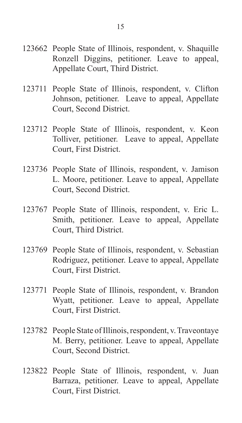- 123662 People State of Illinois, respondent, v. Shaquille Ronzell Diggins, petitioner. Leave to appeal, Appellate Court, Third District.
- 123711 People State of Illinois, respondent, v. Clifton Johnson, petitioner. Leave to appeal, Appellate Court, Second District.
- 123712 People State of Illinois, respondent, v. Keon Tolliver, petitioner. Leave to appeal, Appellate Court, First District.
- 123736 People State of Illinois, respondent, v. Jamison L. Moore, petitioner. Leave to appeal, Appellate Court, Second District.
- 123767 People State of Illinois, respondent, v. Eric L. Smith, petitioner. Leave to appeal, Appellate Court, Third District.
- 123769 People State of Illinois, respondent, v. Sebastian Rodriguez, petitioner. Leave to appeal, Appellate Court, First District.
- 123771 People State of Illinois, respondent, v. Brandon Wyatt, petitioner. Leave to appeal, Appellate Court, First District.
- 123782 People State of Illinois, respondent, v. Traveontaye M. Berry, petitioner. Leave to appeal, Appellate Court, Second District.
- 123822 People State of Illinois, respondent, v. Juan Barraza, petitioner. Leave to appeal, Appellate Court, First District.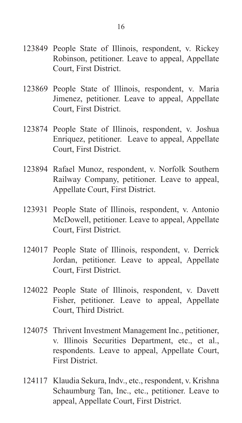- 123849 People State of Illinois, respondent, v. Rickey Robinson, petitioner. Leave to appeal, Appellate Court, First District.
- 123869 People State of Illinois, respondent, v. Maria Jimenez, petitioner. Leave to appeal, Appellate Court, First District.
- 123874 People State of Illinois, respondent, v. Joshua Enriquez, petitioner. Leave to appeal, Appellate Court, First District.
- 123894 Rafael Munoz, respondent, v. Norfolk Southern Railway Company, petitioner. Leave to appeal, Appellate Court, First District.
- 123931 People State of Illinois, respondent, v. Antonio McDowell, petitioner. Leave to appeal, Appellate Court, First District.
- 124017 People State of Illinois, respondent, v. Derrick Jordan, petitioner. Leave to appeal, Appellate Court, First District.
- 124022 People State of Illinois, respondent, v. Davett Fisher, petitioner. Leave to appeal, Appellate Court, Third District.
- 124075 Thrivent Investment Management Inc., petitioner, v. Illinois Securities Department, etc., et al., respondents. Leave to appeal, Appellate Court, First District.
- 124117 Klaudia Sekura, Indv., etc., respondent, v. Krishna Schaumburg Tan, Inc., etc., petitioner. Leave to appeal, Appellate Court, First District.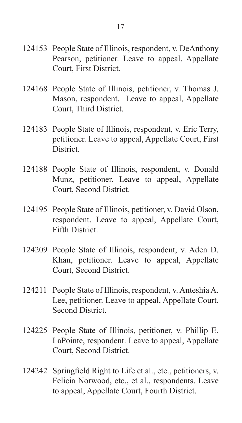- 124153 People State of Illinois, respondent, v. DeAnthony Pearson, petitioner. Leave to appeal, Appellate Court, First District.
- 124168 People State of Illinois, petitioner, v. Thomas J. Mason, respondent. Leave to appeal, Appellate Court, Third District.
- 124183 People State of Illinois, respondent, v. Eric Terry, petitioner. Leave to appeal, Appellate Court, First District.
- 124188 People State of Illinois, respondent, v. Donald Munz, petitioner. Leave to appeal, Appellate Court, Second District.
- 124195 People State of Illinois, petitioner, v. David Olson, respondent. Leave to appeal, Appellate Court, Fifth District.
- 124209 People State of Illinois, respondent, v. Aden D. Khan, petitioner. Leave to appeal, Appellate Court, Second District.
- 124211 People State of Illinois, respondent, v. Anteshia A. Lee, petitioner. Leave to appeal, Appellate Court, Second District.
- 124225 People State of Illinois, petitioner, v. Phillip E. LaPointe, respondent. Leave to appeal, Appellate Court, Second District.
- 124242 Springfield Right to Life et al., etc., petitioners, v. Felicia Norwood, etc., et al., respondents. Leave to appeal, Appellate Court, Fourth District.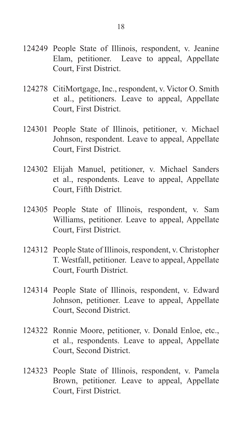- 124249 People State of Illinois, respondent, v. Jeanine Elam, petitioner. Leave to appeal, Appellate Court, First District.
- 124278 CitiMortgage, Inc., respondent, v. Victor O. Smith et al., petitioners. Leave to appeal, Appellate Court, First District.
- 124301 People State of Illinois, petitioner, v. Michael Johnson, respondent. Leave to appeal, Appellate Court, First District.
- 124302 Elijah Manuel, petitioner, v. Michael Sanders et al., respondents. Leave to appeal, Appellate Court, Fifth District.
- 124305 People State of Illinois, respondent, v. Sam Williams, petitioner. Leave to appeal, Appellate Court, First District.
- 124312 People State of Illinois, respondent, v. Christopher T. Westfall, petitioner. Leave to appeal, Appellate Court, Fourth District.
- 124314 People State of Illinois, respondent, v. Edward Johnson, petitioner. Leave to appeal, Appellate Court, Second District.
- 124322 Ronnie Moore, petitioner, v. Donald Enloe, etc., et al., respondents. Leave to appeal, Appellate Court, Second District.
- 124323 People State of Illinois, respondent, v. Pamela Brown, petitioner. Leave to appeal, Appellate Court, First District.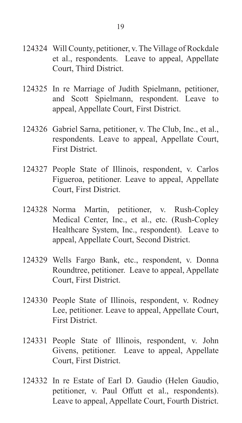- 124324 Will County, petitioner, v. The Village of Rockdale et al., respondents. Leave to appeal, Appellate Court, Third District.
- 124325 In re Marriage of Judith Spielmann, petitioner, and Scott Spielmann, respondent. Leave to appeal, Appellate Court, First District.
- 124326 Gabriel Sarna, petitioner, v. The Club, Inc., et al., respondents. Leave to appeal, Appellate Court, First District.
- 124327 People State of Illinois, respondent, v. Carlos Figueroa, petitioner. Leave to appeal, Appellate Court, First District.
- 124328 Norma Martin, petitioner, v. Rush-Copley Medical Center, Inc., et al., etc. (Rush-Copley Healthcare System, Inc., respondent). Leave to appeal, Appellate Court, Second District.
- 124329 Wells Fargo Bank, etc., respondent, v. Donna Roundtree, petitioner. Leave to appeal, Appellate Court, First District.
- 124330 People State of Illinois, respondent, v. Rodney Lee, petitioner. Leave to appeal, Appellate Court, First District.
- 124331 People State of Illinois, respondent, v. John Givens, petitioner. Leave to appeal, Appellate Court, First District.
- 124332 In re Estate of Earl D. Gaudio (Helen Gaudio, petitioner, v. Paul Offutt et al., respondents). Leave to appeal, Appellate Court, Fourth District.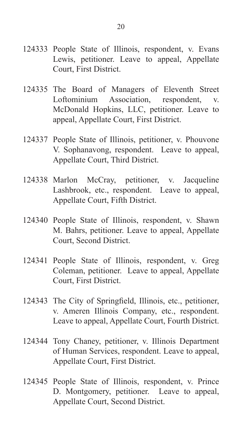- 124333 People State of Illinois, respondent, v. Evans Lewis, petitioner. Leave to appeal, Appellate Court, First District.
- 124335 The Board of Managers of Eleventh Street Loftominium Association, respondent, v. McDonald Hopkins, LLC, petitioner. Leave to appeal, Appellate Court, First District.
- 124337 People State of Illinois, petitioner, v. Phouvone V. Sophanavong, respondent. Leave to appeal, Appellate Court, Third District.
- 124338 Marlon McCray, petitioner, v. Jacqueline Lashbrook, etc., respondent. Leave to appeal, Appellate Court, Fifth District.
- 124340 People State of Illinois, respondent, v. Shawn M. Bahrs, petitioner. Leave to appeal, Appellate Court, Second District.
- 124341 People State of Illinois, respondent, v. Greg Coleman, petitioner. Leave to appeal, Appellate Court, First District.
- 124343 The City of Springfield, Illinois, etc., petitioner, v. Ameren Illinois Company, etc., respondent. Leave to appeal, Appellate Court, Fourth District.
- 124344 Tony Chaney, petitioner, v. Illinois Department of Human Services, respondent. Leave to appeal, Appellate Court, First District.
- 124345 People State of Illinois, respondent, v. Prince D. Montgomery, petitioner. Leave to appeal, Appellate Court, Second District.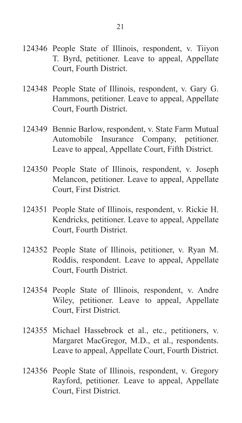- 124346 People State of Illinois, respondent, v. Tiiyon T. Byrd, petitioner. Leave to appeal, Appellate Court, Fourth District.
- 124348 People State of Illinois, respondent, v. Gary G. Hammons, petitioner. Leave to appeal, Appellate Court, Fourth District.
- 124349 Bennie Barlow, respondent, v. State Farm Mutual Automobile Insurance Company, petitioner. Leave to appeal, Appellate Court, Fifth District.
- 124350 People State of Illinois, respondent, v. Joseph Melancon, petitioner. Leave to appeal, Appellate Court, First District.
- 124351 People State of Illinois, respondent, v. Rickie H. Kendricks, petitioner. Leave to appeal, Appellate Court, Fourth District.
- 124352 People State of Illinois, petitioner, v. Ryan M. Roddis, respondent. Leave to appeal, Appellate Court, Fourth District.
- 124354 People State of Illinois, respondent, v. Andre Wiley, petitioner. Leave to appeal, Appellate Court, First District.
- 124355 Michael Hassebrock et al., etc., petitioners, v. Margaret MacGregor, M.D., et al., respondents. Leave to appeal, Appellate Court, Fourth District.
- 124356 People State of Illinois, respondent, v. Gregory Rayford, petitioner. Leave to appeal, Appellate Court, First District.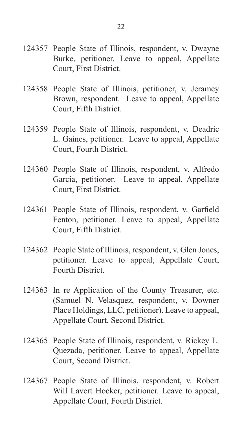- 124357 People State of Illinois, respondent, v. Dwayne Burke, petitioner. Leave to appeal, Appellate Court, First District.
- 124358 People State of Illinois, petitioner, v. Jeramey Brown, respondent. Leave to appeal, Appellate Court, Fifth District.
- 124359 People State of Illinois, respondent, v. Deadric L. Gaines, petitioner. Leave to appeal, Appellate Court, Fourth District.
- 124360 People State of Illinois, respondent, v. Alfredo Garcia, petitioner. Leave to appeal, Appellate Court, First District.
- 124361 People State of Illinois, respondent, v. Garfield Fenton, petitioner. Leave to appeal, Appellate Court, Fifth District.
- 124362 People State of Illinois, respondent, v. Glen Jones, petitioner. Leave to appeal, Appellate Court, Fourth District.
- 124363 In re Application of the County Treasurer, etc. (Samuel N. Velasquez, respondent, v. Downer Place Holdings, LLC, petitioner). Leave to appeal, Appellate Court, Second District.
- 124365 People State of Illinois, respondent, v. Rickey L. Quezada, petitioner. Leave to appeal, Appellate Court, Second District.
- 124367 People State of Illinois, respondent, v. Robert Will Lavert Hocker, petitioner. Leave to appeal, Appellate Court, Fourth District.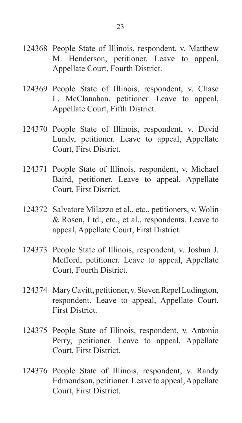- 124368 People State of Illinois, respondent, v. Matthew M. Henderson, petitioner. Leave to appeal, Appellate Court, Fourth District.
- 124369 People State of Illinois, respondent, v. Chase L. McClanahan, petitioner. Leave to appeal, Appellate Court, Fifth District.
- 124370 People State of Illinois, respondent, v. David Lundy, petitioner. Leave to appeal, Appellate Court, First District.
- 124371 People State of Illinois, respondent, v. Michael Baird, petitioner. Leave to appeal, Appellate Court, First District.
- 124372 Salvatore Milazzo et al., etc., petitioners, v. Wolin & Rosen, Ltd., etc., et al., respondents. Leave to appeal, Appellate Court, First District.
- 124373 People State of Illinois, respondent, v. Joshua J. Mefford, petitioner. Leave to appeal, Appellate Court, Fourth District.
- 124374 Mary Cavitt, petitioner, v. Steven Repel Ludington, respondent. Leave to appeal, Appellate Court, First District.
- 124375 People State of Illinois, respondent, v. Antonio Perry, petitioner. Leave to appeal, Appellate Court, First District.
- 124376 People State of Illinois, respondent, v. Randy Edmondson, petitioner. Leave to appeal, Appellate Court, First District.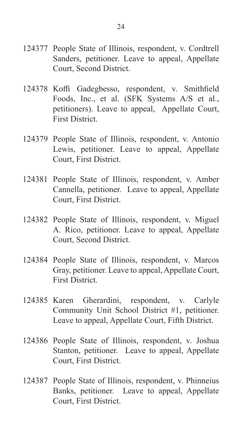- 124377 People State of Illinois, respondent, v. Cordtrell Sanders, petitioner. Leave to appeal, Appellate Court, Second District.
- 124378 Koffi Gadegbesso, respondent, v. Smithfield Foods, Inc., et al. (SFK Systems A/S et al., petitioners). Leave to appeal, Appellate Court, First District.
- 124379 People State of Illinois, respondent, v. Antonio Lewis, petitioner. Leave to appeal, Appellate Court, First District.
- 124381 People State of Illinois, respondent, v. Amber Cannella, petitioner. Leave to appeal, Appellate Court, First District.
- 124382 People State of Illinois, respondent, v. Miguel A. Rico, petitioner. Leave to appeal, Appellate Court, Second District.
- 124384 People State of Illinois, respondent, v. Marcos Gray, petitioner. Leave to appeal, Appellate Court, First District.
- 124385 Karen Gherardini, respondent, v. Carlyle Community Unit School District #1, petitioner. Leave to appeal, Appellate Court, Fifth District.
- 124386 People State of Illinois, respondent, v. Joshua Stanton, petitioner. Leave to appeal, Appellate Court, First District.
- 124387 People State of Illinois, respondent, v. Phinneius Banks, petitioner. Leave to appeal, Appellate Court, First District.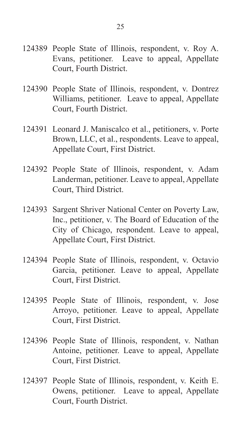- 124389 People State of Illinois, respondent, v. Roy A. Evans, petitioner. Leave to appeal, Appellate Court, Fourth District.
- 124390 People State of Illinois, respondent, v. Dontrez Williams, petitioner. Leave to appeal, Appellate Court, Fourth District.
- 124391 Leonard J. Maniscalco et al., petitioners, v. Porte Brown, LLC, et al., respondents. Leave to appeal, Appellate Court, First District.
- 124392 People State of Illinois, respondent, v. Adam Landerman, petitioner. Leave to appeal, Appellate Court, Third District.
- 124393 Sargent Shriver National Center on Poverty Law, Inc., petitioner, v. The Board of Education of the City of Chicago, respondent. Leave to appeal, Appellate Court, First District.
- 124394 People State of Illinois, respondent, v. Octavio Garcia, petitioner. Leave to appeal, Appellate Court, First District.
- 124395 People State of Illinois, respondent, v. Jose Arroyo, petitioner. Leave to appeal, Appellate Court, First District.
- 124396 People State of Illinois, respondent, v. Nathan Antoine, petitioner. Leave to appeal, Appellate Court, First District.
- 124397 People State of Illinois, respondent, v. Keith E. Owens, petitioner. Leave to appeal, Appellate Court, Fourth District.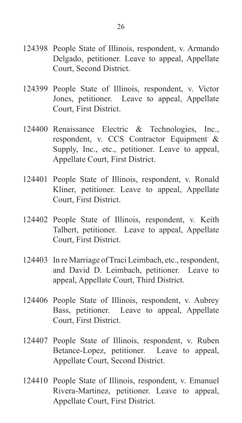- 124398 People State of Illinois, respondent, v. Armando Delgado, petitioner. Leave to appeal, Appellate Court, Second District.
- 124399 People State of Illinois, respondent, v. Victor Jones, petitioner. Leave to appeal, Appellate Court, First District.
- 124400 Renaissance Electric & Technologies, Inc., respondent, v. CCS Contractor Equipment & Supply, Inc., etc., petitioner. Leave to appeal, Appellate Court, First District.
- 124401 People State of Illinois, respondent, v. Ronald Kliner, petitioner. Leave to appeal, Appellate Court, First District.
- 124402 People State of Illinois, respondent, v. Keith Talbert, petitioner. Leave to appeal, Appellate Court, First District.
- 124403 In re Marriage of Traci Leimbach, etc., respondent, and David D. Leimbach, petitioner. Leave to appeal, Appellate Court, Third District.
- 124406 People State of Illinois, respondent, v. Aubrey Bass, petitioner. Leave to appeal, Appellate Court, First District.
- 124407 People State of Illinois, respondent, v. Ruben Betance-Lopez, petitioner. Leave to appeal, Appellate Court, Second District.
- 124410 People State of Illinois, respondent, v. Emanuel Rivera-Martinez, petitioner. Leave to appeal, Appellate Court, First District.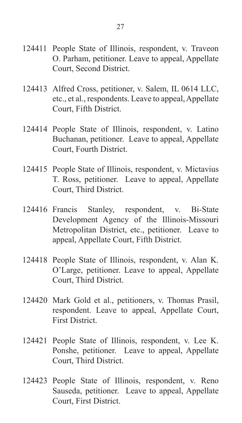- 124411 People State of Illinois, respondent, v. Traveon O. Parham, petitioner. Leave to appeal, Appellate Court, Second District.
- 124413 Alfred Cross, petitioner, v. Salem, IL 0614 LLC, etc., et al., respondents. Leave to appeal, Appellate Court, Fifth District.
- 124414 People State of Illinois, respondent, v. Latino Buchanan, petitioner. Leave to appeal, Appellate Court, Fourth District.
- 124415 People State of Illinois, respondent, v. Mictavius T. Ross, petitioner. Leave to appeal, Appellate Court, Third District.
- 124416 Francis Stanley, respondent, v. Bi-State Development Agency of the Illinois-Missouri Metropolitan District, etc., petitioner. Leave to appeal, Appellate Court, Fifth District.
- 124418 People State of Illinois, respondent, v. Alan K. O'Large, petitioner. Leave to appeal, Appellate Court, Third District.
- 124420 Mark Gold et al., petitioners, v. Thomas Prasil, respondent. Leave to appeal, Appellate Court, First District.
- 124421 People State of Illinois, respondent, v. Lee K. Ponshe, petitioner. Leave to appeal, Appellate Court, Third District.
- 124423 People State of Illinois, respondent, v. Reno Sauseda, petitioner. Leave to appeal, Appellate Court, First District.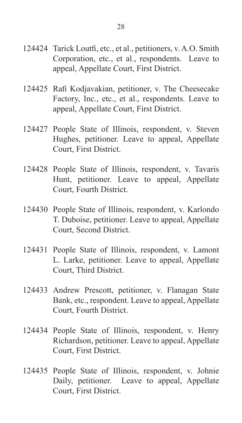- 124424 Tarick Loutfi, etc., et al., petitioners, v. A.O. Smith Corporation, etc., et al., respondents. Leave to appeal, Appellate Court, First District.
- 124425 Rafi Kodjavakian, petitioner, v. The Cheesecake Factory, Inc., etc., et al., respondents. Leave to appeal, Appellate Court, First District.
- 124427 People State of Illinois, respondent, v. Steven Hughes, petitioner. Leave to appeal, Appellate Court, First District.
- 124428 People State of Illinois, respondent, v. Tavaris Hunt, petitioner. Leave to appeal, Appellate Court, Fourth District.
- 124430 People State of Illinois, respondent, v. Karlondo T. Duboise, petitioner. Leave to appeal, Appellate Court, Second District.
- 124431 People State of Illinois, respondent, v. Lamont L. Larke, petitioner. Leave to appeal, Appellate Court, Third District.
- 124433 Andrew Prescott, petitioner, v. Flanagan State Bank, etc., respondent. Leave to appeal, Appellate Court, Fourth District.
- 124434 People State of Illinois, respondent, v. Henry Richardson, petitioner. Leave to appeal, Appellate Court, First District.
- 124435 People State of Illinois, respondent, v. Johnie Daily, petitioner. Leave to appeal, Appellate Court, First District.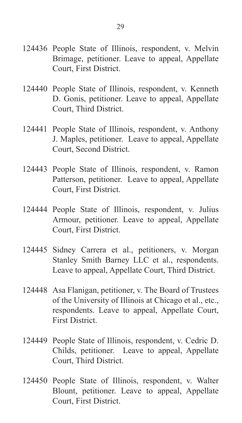- 124436 People State of Illinois, respondent, v. Melvin Brimage, petitioner. Leave to appeal, Appellate Court, First District.
- 124440 People State of Illinois, respondent, v. Kenneth D. Gonis, petitioner. Leave to appeal, Appellate Court, Third District.
- 124441 People State of Illinois, respondent, v. Anthony J. Maples, petitioner. Leave to appeal, Appellate Court, Second District.
- 124443 People State of Illinois, respondent, v. Ramon Patterson, petitioner. Leave to appeal, Appellate Court, First District.
- 124444 People State of Illinois, respondent, v. Julius Armour, petitioner. Leave to appeal, Appellate Court, First District.
- 124445 Sidney Carrera et al., petitioners, v. Morgan Stanley Smith Barney LLC et al., respondents. Leave to appeal, Appellate Court, Third District.
- 124448 Asa Flanigan, petitioner, v. The Board of Trustees of the University of Illinois at Chicago et al., etc., respondents. Leave to appeal, Appellate Court, First District.
- 124449 People State of Illinois, respondent, v. Cedric D. Childs, petitioner. Leave to appeal, Appellate Court, Third District.
- 124450 People State of Illinois, respondent, v. Walter Blount, petitioner. Leave to appeal, Appellate Court, First District.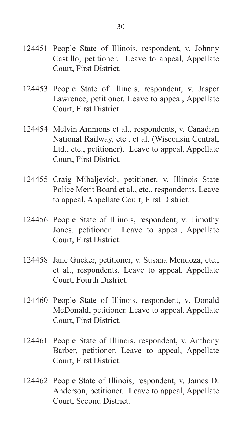- 124451 People State of Illinois, respondent, v. Johnny Castillo, petitioner. Leave to appeal, Appellate Court, First District.
- 124453 People State of Illinois, respondent, v. Jasper Lawrence, petitioner. Leave to appeal, Appellate Court, First District.
- 124454 Melvin Ammons et al., respondents, v. Canadian National Railway, etc., et al. (Wisconsin Central, Ltd., etc., petitioner). Leave to appeal, Appellate Court, First District.
- 124455 Craig Mihaljevich, petitioner, v. Illinois State Police Merit Board et al., etc., respondents. Leave to appeal, Appellate Court, First District.
- 124456 People State of Illinois, respondent, v. Timothy Jones, petitioner. Leave to appeal, Appellate Court, First District.
- 124458 Jane Gucker, petitioner, v. Susana Mendoza, etc., et al., respondents. Leave to appeal, Appellate Court, Fourth District.
- 124460 People State of Illinois, respondent, v. Donald McDonald, petitioner. Leave to appeal, Appellate Court, First District.
- 124461 People State of Illinois, respondent, v. Anthony Barber, petitioner. Leave to appeal, Appellate Court, First District.
- 124462 People State of Illinois, respondent, v. James D. Anderson, petitioner. Leave to appeal, Appellate Court, Second District.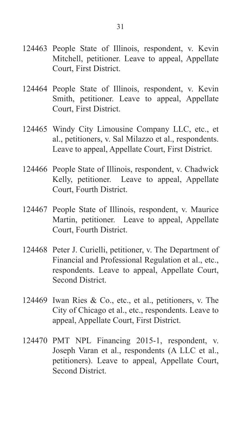- 124463 People State of Illinois, respondent, v. Kevin Mitchell, petitioner. Leave to appeal, Appellate Court, First District.
- 124464 People State of Illinois, respondent, v. Kevin Smith, petitioner. Leave to appeal, Appellate Court, First District.
- 124465 Windy City Limousine Company LLC, etc., et al., petitioners, v. Sal Milazzo et al., respondents. Leave to appeal, Appellate Court, First District.
- 124466 People State of Illinois, respondent, v. Chadwick Kelly, petitioner. Leave to appeal, Appellate Court, Fourth District.
- 124467 People State of Illinois, respondent, v. Maurice Martin, petitioner. Leave to appeal, Appellate Court, Fourth District.
- 124468 Peter J. Curielli, petitioner, v. The Department of Financial and Professional Regulation et al., etc., respondents. Leave to appeal, Appellate Court, Second District.
- 124469 Iwan Ries & Co., etc., et al., petitioners, v. The City of Chicago et al., etc., respondents. Leave to appeal, Appellate Court, First District.
- 124470 PMT NPL Financing 2015-1, respondent, v. Joseph Varan et al., respondents (A LLC et al., petitioners). Leave to appeal, Appellate Court, Second District.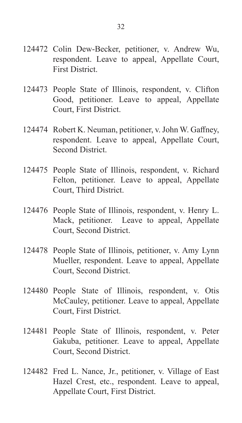- 124472 Colin Dew-Becker, petitioner, v. Andrew Wu, respondent. Leave to appeal, Appellate Court, First District.
- 124473 People State of Illinois, respondent, v. Clifton Good, petitioner. Leave to appeal, Appellate Court, First District.
- 124474 Robert K. Neuman, petitioner, v. John W. Gaffney, respondent. Leave to appeal, Appellate Court, Second District.
- 124475 People State of Illinois, respondent, v. Richard Felton, petitioner. Leave to appeal, Appellate Court, Third District.
- 124476 People State of Illinois, respondent, v. Henry L. Mack, petitioner. Leave to appeal, Appellate Court, Second District.
- 124478 People State of Illinois, petitioner, v. Amy Lynn Mueller, respondent. Leave to appeal, Appellate Court, Second District.
- 124480 People State of Illinois, respondent, v. Otis McCauley, petitioner. Leave to appeal, Appellate Court, First District.
- 124481 People State of Illinois, respondent, v. Peter Gakuba, petitioner. Leave to appeal, Appellate Court, Second District.
- 124482 Fred L. Nance, Jr., petitioner, v. Village of East Hazel Crest, etc., respondent. Leave to appeal, Appellate Court, First District.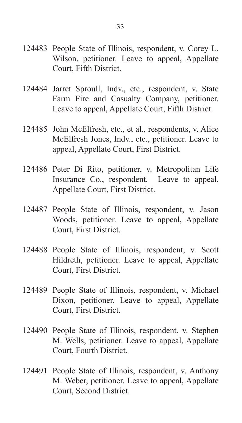- 124483 People State of Illinois, respondent, v. Corey L. Wilson, petitioner. Leave to appeal, Appellate Court, Fifth District.
- 124484 Jarret Sproull, Indv., etc., respondent, v. State Farm Fire and Casualty Company, petitioner. Leave to appeal, Appellate Court, Fifth District.
- 124485 John McElfresh, etc., et al., respondents, v. Alice McElfresh Jones, Indv., etc., petitioner. Leave to appeal, Appellate Court, First District.
- 124486 Peter Di Rito, petitioner, v. Metropolitan Life Insurance Co., respondent. Leave to appeal, Appellate Court, First District.
- 124487 People State of Illinois, respondent, v. Jason Woods, petitioner. Leave to appeal, Appellate Court, First District.
- 124488 People State of Illinois, respondent, v. Scott Hildreth, petitioner. Leave to appeal, Appellate Court, First District.
- 124489 People State of Illinois, respondent, v. Michael Dixon, petitioner. Leave to appeal, Appellate Court, First District.
- 124490 People State of Illinois, respondent, v. Stephen M. Wells, petitioner. Leave to appeal, Appellate Court, Fourth District.
- 124491 People State of Illinois, respondent, v. Anthony M. Weber, petitioner. Leave to appeal, Appellate Court, Second District.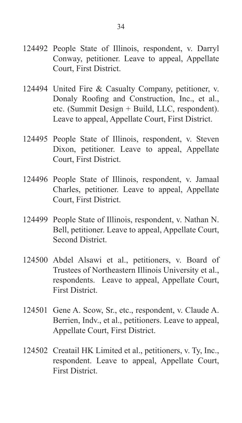- 124492 People State of Illinois, respondent, v. Darryl Conway, petitioner. Leave to appeal, Appellate Court, First District.
- 124494 United Fire & Casualty Company, petitioner, v. Donaly Roofing and Construction, Inc., et al., etc. (Summit Design + Build, LLC, respondent). Leave to appeal, Appellate Court, First District.
- 124495 People State of Illinois, respondent, v. Steven Dixon, petitioner. Leave to appeal, Appellate Court, First District.
- 124496 People State of Illinois, respondent, v. Jamaal Charles, petitioner. Leave to appeal, Appellate Court, First District.
- 124499 People State of Illinois, respondent, v. Nathan N. Bell, petitioner. Leave to appeal, Appellate Court, Second District.
- 124500 Abdel Alsawi et al., petitioners, v. Board of Trustees of Northeastern Illinois University et al., respondents. Leave to appeal, Appellate Court, First District.
- 124501 Gene A. Scow, Sr., etc., respondent, v. Claude A. Berrien, Indv., et al., petitioners. Leave to appeal, Appellate Court, First District.
- 124502 Creatail HK Limited et al., petitioners, v. Ty, Inc., respondent. Leave to appeal, Appellate Court, First District.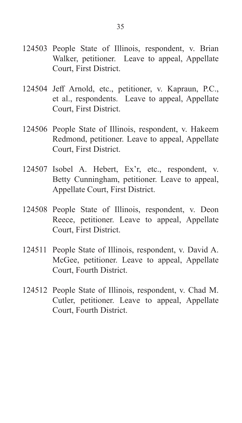- 124503 People State of Illinois, respondent, v. Brian Walker, petitioner. Leave to appeal, Appellate Court, First District.
- 124504 Jeff Arnold, etc., petitioner, v. Kapraun, P.C., et al., respondents. Leave to appeal, Appellate Court, First District.
- 124506 People State of Illinois, respondent, v. Hakeem Redmond, petitioner. Leave to appeal, Appellate Court, First District.
- 124507 Isobel A. Hebert, Ex'r, etc., respondent, v. Betty Cunningham, petitioner. Leave to appeal, Appellate Court, First District.
- 124508 People State of Illinois, respondent, v. Deon Reece, petitioner. Leave to appeal, Appellate Court, First District.
- 124511 People State of Illinois, respondent, v. David A. McGee, petitioner. Leave to appeal, Appellate Court, Fourth District.
- 124512 People State of Illinois, respondent, v. Chad M. Cutler, petitioner. Leave to appeal, Appellate Court, Fourth District.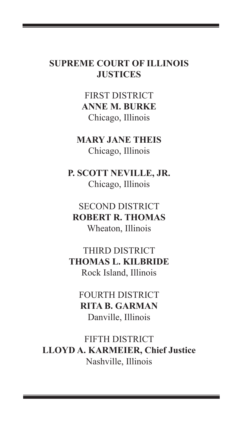## **SUPREME COURT OF ILLINOIS JUSTICES**

36

FIRST DISTRICT **ANNE M. BURKE** Chicago, Illinois

**MARY JANE THEIS** Chicago, Illinois

**P. SCOTT NEVILLE, JR.** Chicago, Illinois

SECOND DISTRICT **ROBERT R. THOMAS** Wheaton, Illinois

THIRD DISTRICT **THOMAS L. KILBRIDE** Rock Island, Illinois

FOURTH DISTRICT **RITA B. GARMAN** Danville, Illinois

FIFTH DISTRICT **LLOYD A. KARMEIER, Chief Justice** Nashville, Illinois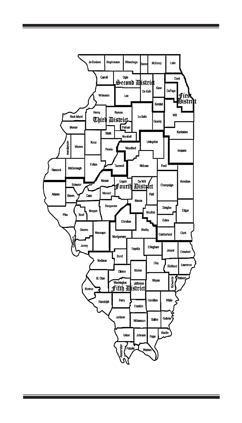

and the control of the control of the control of the

<u> Tanzania (h. 1888).</u>